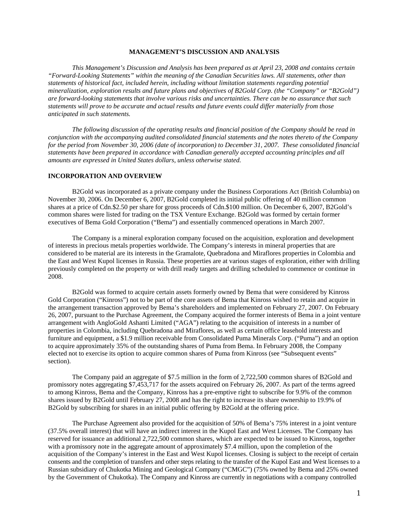## **MANAGEMENT'S DISCUSSION AND ANALYSIS**

*This Management's Discussion and Analysis has been prepared as at April 23, 2008 and contains certain "Forward-Looking Statements" within the meaning of the Canadian Securities laws. All statements, other than statements of historical fact, included herein, including without limitation statements regarding potential mineralization, exploration results and future plans and objectives of B2Gold Corp. (the "Company" or "B2Gold") are forward-looking statements that involve various risks and uncertainties. There can be no assurance that such statements will prove to be accurate and actual results and future events could differ materially from those anticipated in such statements.* 

*The following discussion of the operating results and financial position of the Company should be read in conjunction with the accompanying audited consolidated financial statements and the notes thereto of the Company for the period from November 30, 2006 (date of incorporation) to December 31, 2007. These consolidated financial statements have been prepared in accordance with Canadian generally accepted accounting principles and all amounts are expressed in United States dollars, unless otherwise stated.* 

### **INCORPORATION AND OVERVIEW**

B2Gold was incorporated as a private company under the Business Corporations Act (British Columbia) on November 30, 2006. On December 6, 2007, B2Gold completed its initial public offering of 40 million common shares at a price of Cdn.\$2.50 per share for gross proceeds of Cdn.\$100 million. On December 6, 2007, B2Gold's common shares were listed for trading on the TSX Venture Exchange. B2Gold was formed by certain former executives of Bema Gold Corporation ("Bema") and essentially commenced operations in March 2007.

The Company is a mineral exploration company focused on the acquisition, exploration and development of interests in precious metals properties worldwide. The Company's interests in mineral properties that are considered to be material are its interests in the Gramalote, Quebradona and Miraflores properties in Colombia and the East and West Kupol licenses in Russia. These properties are at various stages of exploration, either with drilling previously completed on the property or with drill ready targets and drilling scheduled to commence or continue in 2008.

B2Gold was formed to acquire certain assets formerly owned by Bema that were considered by Kinross Gold Corporation ("Kinross") not to be part of the core assets of Bema that Kinross wished to retain and acquire in the arrangement transaction approved by Bema's shareholders and implemented on February 27, 2007. On February 26, 2007, pursuant to the Purchase Agreement, the Company acquired the former interests of Bema in a joint venture arrangement with AngloGold Ashanti Limited ("AGA") relating to the acquisition of interests in a number of properties in Colombia, including Quebradona and Miraflores, as well as certain office leasehold interests and furniture and equipment, a \$1.9 million receivable from Consolidated Puma Minerals Corp. ("Puma") and an option to acquire approximately 35% of the outstanding shares of Puma from Bema. In February 2008, the Company elected not to exercise its option to acquire common shares of Puma from Kinross (see "Subsequent events" section).

The Company paid an aggregate of \$7.5 million in the form of 2,722,500 common shares of B2Gold and promissory notes aggregating \$7,453,717 for the assets acquired on February 26, 2007. As part of the terms agreed to among Kinross, Bema and the Company, Kinross has a pre-emptive right to subscribe for 9.9% of the common shares issued by B2Gold until February 27, 2008 and has the right to increase its share ownership to 19.9% of B2Gold by subscribing for shares in an initial public offering by B2Gold at the offering price.

The Purchase Agreement also provided for the acquisition of 50% of Bema's 75% interest in a joint venture (37.5% overall interest) that will have an indirect interest in the Kupol East and West Licenses. The Company has reserved for issuance an additional 2,722,500 common shares, which are expected to be issued to Kinross, together with a promissory note in the aggregate amount of approximately \$7.4 million, upon the completion of the acquisition of the Company's interest in the East and West Kupol licenses. Closing is subject to the receipt of certain consents and the completion of transfers and other steps relating to the transfer of the Kupol East and West licenses to a Russian subsidiary of Chukotka Mining and Geological Company ("CMGC") (75% owned by Bema and 25% owned by the Government of Chukotka). The Company and Kinross are currently in negotiations with a company controlled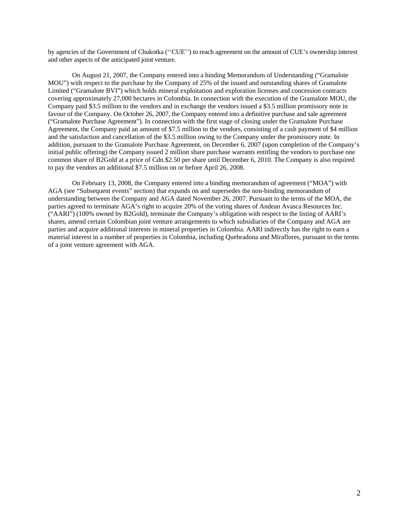by agencies of the Government of Chukotka (''CUE'') to reach agreement on the amount of CUE's ownership interest and other aspects of the anticipated joint venture.

On August 21, 2007, the Company entered into a binding Memorandum of Understanding ("Gramalote MOU") with respect to the purchase by the Company of 25% of the issued and outstanding shares of Gramalote Limited ("Gramalote BVI") which holds mineral exploitation and exploration licenses and concession contracts covering approximately 27,000 hectares in Colombia. In connection with the execution of the Gramalote MOU, the Company paid \$3.5 million to the vendors and in exchange the vendors issued a \$3.5 million promissory note in favour of the Company. On October 26, 2007, the Company entered into a definitive purchase and sale agreement ("Gramalote Purchase Agreement"). In connection with the first stage of closing under the Gramalote Purchase Agreement, the Company paid an amount of \$7.5 million to the vendors, consisting of a cash payment of \$4 million and the satisfaction and cancellation of the \$3.5 million owing to the Company under the promissory note. In addition, pursuant to the Gramalote Purchase Agreement, on December 6, 2007 (upon completion of the Company's initial public offering) the Company issued 2 million share purchase warrants entitling the vendors to purchase one common share of B2Gold at a price of Cdn.\$2.50 per share until December 6, 2010. The Company is also required to pay the vendors an additional \$7.5 million on or before April 26, 2008.

On February 13, 2008, the Company entered into a binding memorandum of agreement ("MOA") with AGA (see "Subsequent events" section) that expands on and supersedes the non-binding memorandum of understanding between the Company and AGA dated November 26, 2007. Pursuant to the terms of the MOA, the parties agreed to terminate AGA's right to acquire 20% of the voting shares of Andean Avasca Resources Inc. ("AARI") (100% owned by B2Gold), terminate the Company's obligation with respect to the listing of AARI's shares, amend certain Colombian joint venture arrangements to which subsidiaries of the Company and AGA are parties and acquire additional interests in mineral properties in Colombia. AARI indirectly has the right to earn a material interest in a number of properties in Colombia, including Quebradona and Miraflores, pursuant to the terms of a joint venture agreement with AGA.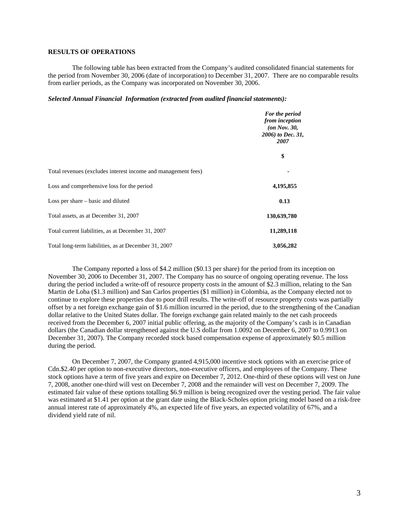# **RESULTS OF OPERATIONS**

The following table has been extracted from the Company's audited consolidated financial statements for the period from November 30, 2006 (date of incorporation) to December 31, 2007. There are no comparable results from earlier periods, as the Company was incorporated on November 30, 2006.

### *Selected Annual Financial Information (extracted from audited financial statements):*

|                                                               | For the period<br>from inception<br>$($ on Nov. 30,<br>2006) to Dec. 31,<br>2007 |  |
|---------------------------------------------------------------|----------------------------------------------------------------------------------|--|
|                                                               | \$                                                                               |  |
| Total revenues (excludes interest income and management fees) |                                                                                  |  |
| Loss and comprehensive loss for the period                    | 4,195,855                                                                        |  |
| Loss per share – basic and diluted                            | 0.13                                                                             |  |
| Total assets, as at December 31, 2007                         | 130,639,780                                                                      |  |
| Total current liabilities, as at December 31, 2007            | 11,289,118                                                                       |  |
| Total long-term liabilities, as at December 31, 2007          | 3,056,282                                                                        |  |

The Company reported a loss of \$4.2 million (\$0.13 per share) for the period from its inception on November 30, 2006 to December 31, 2007. The Company has no source of ongoing operating revenue. The loss during the period included a write-off of resource property costs in the amount of \$2.3 million, relating to the San Martin de Loba (\$1.3 million) and San Carlos properties (\$1 million) in Colombia, as the Company elected not to continue to explore these properties due to poor drill results. The write-off of resource property costs was partially offset by a net foreign exchange gain of \$1.6 million incurred in the period, due to the strengthening of the Canadian dollar relative to the United States dollar. The foreign exchange gain related mainly to the net cash proceeds received from the December 6, 2007 initial public offering, as the majority of the Company's cash is in Canadian dollars (the Canadian dollar strengthened against the U.S dollar from 1.0092 on December 6, 2007 to 0.9913 on December 31, 2007). The Company recorded stock based compensation expense of approximately \$0.5 million during the period.

On December 7, 2007, the Company granted 4,915,000 incentive stock options with an exercise price of Cdn.\$2.40 per option to non-executive directors, non-executive officers, and employees of the Company. These stock options have a term of five years and expire on December 7, 2012. One-third of these options will vest on June 7, 2008, another one-third will vest on December 7, 2008 and the remainder will vest on December 7, 2009. The estimated fair value of these options totalling \$6.9 million is being recognized over the vesting period. The fair value was estimated at \$1.41 per option at the grant date using the Black-Scholes option pricing model based on a risk-free annual interest rate of approximately 4%, an expected life of five years, an expected volatility of 67%, and a dividend yield rate of nil.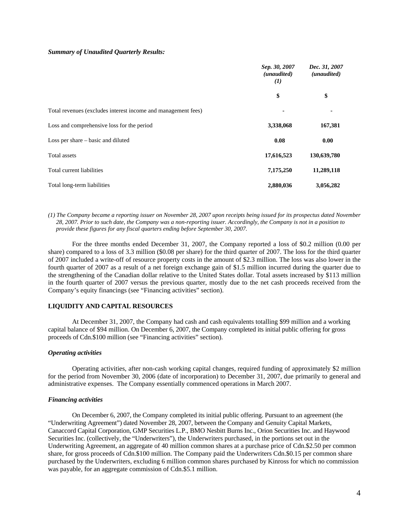### *Summary of Unaudited Quarterly Results:*

|                                                               | Sep. 30, 2007<br>(unaudited)<br>$\bf(1)$ | Dec. 31, 2007<br>(unaudited) |  |
|---------------------------------------------------------------|------------------------------------------|------------------------------|--|
|                                                               | \$                                       | \$                           |  |
| Total revenues (excludes interest income and management fees) |                                          |                              |  |
| Loss and comprehensive loss for the period                    | 3,338,068                                | 167,381                      |  |
| Loss per share $-$ basic and diluted                          | 0.08                                     | 0.00                         |  |
| Total assets                                                  | 17,616,523                               | 130,639,780                  |  |
| Total current liabilities                                     | 7,175,250                                | 11,289,118                   |  |
| Total long-term liabilities                                   | 2,880,036                                | 3,056,282                    |  |

*(1) The Company became a reporting issuer on November 28, 2007 upon receipts being issued for its prospectus dated November 28, 2007. Prior to such date, the Company was a non-reporting issuer. Accordingly, the Company is not in a position to provide these figures for any fiscal quarters ending before September 30, 2007.* 

For the three months ended December 31, 2007, the Company reported a loss of \$0.2 million (0.00 per share) compared to a loss of 3.3 million (\$0.08 per share) for the third quarter of 2007. The loss for the third quarter of 2007 included a write-off of resource property costs in the amount of \$2.3 million. The loss was also lower in the fourth quarter of 2007 as a result of a net foreign exchange gain of \$1.5 million incurred during the quarter due to the strengthening of the Canadian dollar relative to the United States dollar. Total assets increased by \$113 million in the fourth quarter of 2007 versus the previous quarter, mostly due to the net cash proceeds received from the Company's equity financings (see "Financing activities" section).

### **LIQUIDITY AND CAPITAL RESOURCES**

At December 31, 2007, the Company had cash and cash equivalents totalling \$99 million and a working capital balance of \$94 million. On December 6, 2007, the Company completed its initial public offering for gross proceeds of Cdn.\$100 million (see "Financing activities" section).

# *Operating activities*

Operating activities, after non-cash working capital changes, required funding of approximately \$2 million for the period from November 30, 2006 (date of incorporation) to December 31, 2007, due primarily to general and administrative expenses. The Company essentially commenced operations in March 2007.

#### *Financing activities*

On December 6, 2007, the Company completed its initial public offering. Pursuant to an agreement (the "Underwriting Agreement") dated November 28, 2007, between the Company and Genuity Capital Markets, Canaccord Capital Corporation, GMP Securities L.P., BMO Nesbitt Burns Inc., Orion Securities Inc. and Haywood Securities Inc. (collectively, the "Underwriters"), the Underwriters purchased, in the portions set out in the Underwriting Agreement, an aggregate of 40 million common shares at a purchase price of Cdn.\$2.50 per common share, for gross proceeds of Cdn.\$100 million. The Company paid the Underwriters Cdn.\$0.15 per common share purchased by the Underwriters, excluding 6 million common shares purchased by Kinross for which no commission was payable, for an aggregate commission of Cdn.\$5.1 million.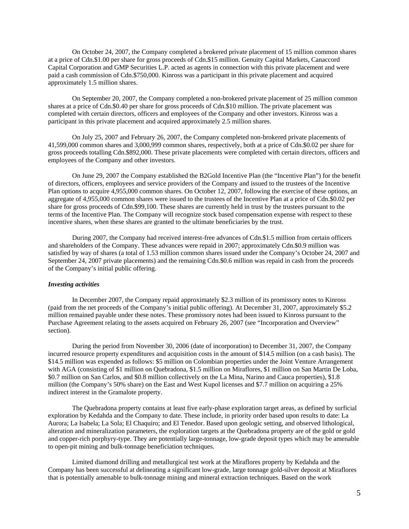On October 24, 2007, the Company completed a brokered private placement of 15 million common shares at a price of Cdn.\$1.00 per share for gross proceeds of Cdn.\$15 million. Genuity Capital Markets, Canaccord Capital Corporation and GMP Securities L.P. acted as agents in connection with this private placement and were paid a cash commission of Cdn.\$750,000. Kinross was a participant in this private placement and acquired approximately 1.5 million shares.

On September 20, 2007, the Company completed a non-brokered private placement of 25 million common shares at a price of Cdn.\$0.40 per share for gross proceeds of Cdn.\$10 million. The private placement was completed with certain directors, officers and employees of the Company and other investors. Kinross was a participant in this private placement and acquired approximately 2.5 million shares.

On July 25, 2007 and February 26, 2007, the Company completed non-brokered private placements of 41,599,000 common shares and 3,000,999 common shares, respectively, both at a price of Cdn.\$0.02 per share for gross proceeds totalling Cdn.\$892,000. These private placements were completed with certain directors, officers and employees of the Company and other investors.

On June 29, 2007 the Company established the B2Gold Incentive Plan (the "Incentive Plan") for the benefit of directors, officers, employees and service providers of the Company and issued to the trustees of the Incentive Plan options to acquire 4,955,000 common shares. On October 12, 2007, following the exercise of these options, an aggregate of 4,955,000 common shares were issued to the trustees of the Incentive Plan at a price of Cdn.\$0.02 per share for gross proceeds of Cdn.\$99,100. These shares are currently held in trust by the trustees pursuant to the terms of the Incentive Plan. The Company will recognize stock based compensation expense with respect to these incentive shares, when these shares are granted to the ultimate beneficiaries by the trust.

During 2007, the Company had received interest-free advances of Cdn.\$1.5 million from certain officers and shareholders of the Company. These advances were repaid in 2007; approximately Cdn.\$0.9 million was satisfied by way of shares (a total of 1.53 million common shares issued under the Company's October 24, 2007 and September 24, 2007 private placements) and the remaining Cdn.\$0.6 million was repaid in cash from the proceeds of the Company's initial public offering.

# *Investing activities*

In December 2007, the Company repaid approximately \$2.3 million of its promissory notes to Kinross (paid from the net proceeds of the Company's initial public offering). At December 31, 2007, approximately \$5.2 million remained payable under these notes. These promissory notes had been issued to Kinross pursuant to the Purchase Agreement relating to the assets acquired on February 26, 2007 (see "Incorporation and Overview" section).

During the period from November 30, 2006 (date of incorporation) to December 31, 2007, the Company incurred resource property expenditures and acquisition costs in the amount of \$14.5 million (on a cash basis). The \$14.5 million was expended as follows: \$5 million on Colombian properties under the Joint Venture Arrangement with AGA (consisting of \$1 million on Quebradona, \$1.5 million on Miraflores, \$1 million on San Martin De Loba, \$0.7 million on San Carlos, and \$0.8 million collectively on the La Mina, Narino and Cauca properties), \$1.8 million (the Company's 50% share) on the East and West Kupol licenses and \$7.7 million on acquiring a 25% indirect interest in the Gramalote property.

The Quebradona property contains at least five early-phase exploration target areas, as defined by surficial exploration by Kedahda and the Company to date. These include, in priority order based upon results to date: La Aurora; La Isabela; La Sola; El Chaquiro; and El Tenedor. Based upon geologic setting, and observed lithological, alteration and mineralization parameters, the exploration targets at the Quebradona property are of the gold or gold and copper-rich porphyry-type. They are potentially large-tonnage, low-grade deposit types which may be amenable to open-pit mining and bulk-tonnage beneficiation techniques.

Limited diamond drilling and metallurgical test work at the Miraflores property by Kedahda and the Company has been successful at delineating a significant low-grade, large tonnage gold-silver deposit at Miraflores that is potentially amenable to bulk-tonnage mining and mineral extraction techniques. Based on the work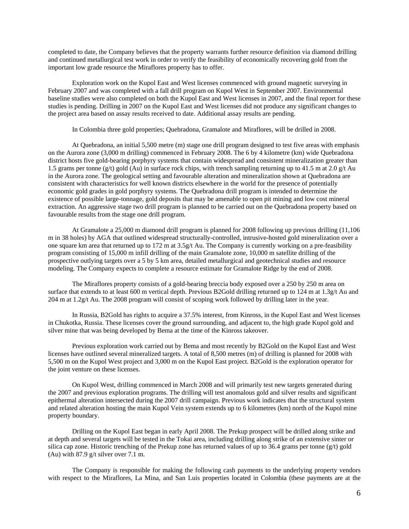completed to date, the Company believes that the property warrants further resource definition via diamond drilling and continued metallurgical test work in order to verify the feasibility of economically recovering gold from the important low grade resource the Miraflores property has to offer.

Exploration work on the Kupol East and West licenses commenced with ground magnetic surveying in February 2007 and was completed with a fall drill program on Kupol West in September 2007. Environmental baseline studies were also completed on both the Kupol East and West licenses in 2007, and the final report for these studies is pending. Drilling in 2007 on the Kupol East and West licenses did not produce any significant changes to the project area based on assay results received to date. Additional assay results are pending.

In Colombia three gold properties; Quebradona, Gramalote and Miraflores, will be drilled in 2008.

At Quebradona, an initial 5,500 metre (m) stage one drill program designed to test five areas with emphasis on the Aurora zone (3,000 m drilling) commenced in February 2008. The 6 by 4 kilometre (km) wide Quebradona district hosts five gold-bearing porphyry systems that contain widespread and consistent mineralization greater than 1.5 grams per tonne (g/t) gold (Au) in surface rock chips, with trench sampling returning up to 41.5 m at 2.0 g/t Au in the Aurora zone. The geological setting and favourable alteration and mineralization shown at Quebradona are consistent with characteristics for well known districts elsewhere in the world for the presence of potentially economic gold grades in gold porphyry systems. The Quebradona drill program is intended to determine the existence of possible large-tonnage, gold deposits that may be amenable to open pit mining and low cost mineral extraction. An aggressive stage two drill program is planned to be carried out on the Quebradona property based on favourable results from the stage one drill program.

At Gramalote a 25,000 m diamond drill program is planned for 2008 following up previous drilling (11,106 m in 38 holes) by AGA that outlined widespread structurally-controlled, intrusive-hosted gold mineralization over a one square km area that returned up to 172 m at 3.5g/t Au. The Company is currently working on a pre-feasibility program consisting of 15,000 m infill drilling of the main Gramalote zone, 10,000 m satellite drilling of the prospective outlying targets over a 5 by 5 km area, detailed metallurgical and geotechnical studies and resource modeling. The Company expects to complete a resource estimate for Gramalote Ridge by the end of 2008.

The Miraflores property consists of a gold-bearing breccia body exposed over a 250 by 250 m area on surface that extends to at least 600 m vertical depth. Previous B2Gold drilling returned up to 124 m at 1.3g/t Au and 204 m at 1.2g/t Au. The 2008 program will consist of scoping work followed by drilling later in the year.

In Russia, B2Gold has rights to acquire a 37.5% interest, from Kinross, in the Kupol East and West licenses in Chukotka, Russia. These licenses cover the ground surrounding, and adjacent to, the high grade Kupol gold and silver mine that was being developed by Bema at the time of the Kinross takeover.

Previous exploration work carried out by Bema and most recently by B2Gold on the Kupol East and West licenses have outlined several mineralized targets. A total of 8,500 metres (m) of drilling is planned for 2008 with 5,500 m on the Kupol West project and 3,000 m on the Kupol East project. B2Gold is the exploration operator for the joint venture on these licenses.

On Kupol West, drilling commenced in March 2008 and will primarily test new targets generated during the 2007 and previous exploration programs. The drilling will test anomalous gold and silver results and significant epithermal alteration intersected during the 2007 drill campaign. Previous work indicates that the structural system and related alteration hosting the main Kupol Vein system extends up to 6 kilometres (km) north of the Kupol mine property boundary.

Drilling on the Kupol East began in early April 2008. The Prekup prospect will be drilled along strike and at depth and several targets will be tested in the Tokai area, including drilling along strike of an extensive sinter or silica cap zone. Historic trenching of the Prekup zone has returned values of up to 36.4 grams per tonne  $(g/t)$  gold (Au) with 87.9 g/t silver over 7.1 m.

The Company is responsible for making the following cash payments to the underlying property vendors with respect to the Miraflores, La Mina, and San Luis properties located in Colombia (these payments are at the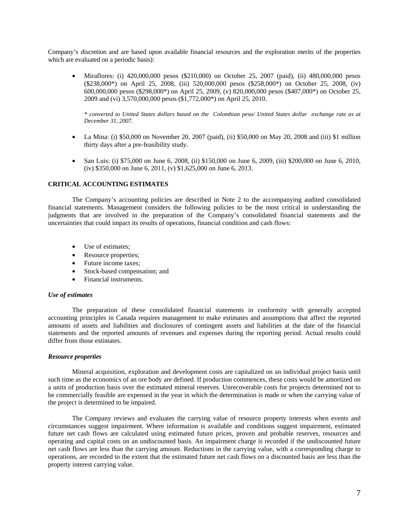Company's discretion and are based upon available financial resources and the exploration merits of the properties which are evaluated on a periodic basis):

• Miraflores: (i) 420,000,000 pesos (\$210,000) on October 25, 2007 (paid), (ii) 480,000,000 pesos (\$238,000\*) on April 25, 2008, (iii) 520,000,000 pesos (\$258,000\*) on October 25, 2008, (iv) 600,000,000 pesos (\$298,000\*) on April 25, 2009, (v) 820,000,000 pesos (\$407,000\*) on October 25, 2009 and (vi) 3,570,000,000 pesos (\$1,772,000\*) on April 25, 2010.

*\* converted to United States dollars based on the Colombian peso/ United States dollar exchange rate as at December 31, 2007.* 

- La Mina: (i) \$50,000 on November 20, 2007 (paid), (ii) \$50,000 on May 20, 2008 and (iii) \$1 million thirty days after a pre-feasibility study.
- San Luis: (i) \$75,000 on June 6, 2008, (ii) \$150,000 on June 6, 2009, (iii) \$200,000 on June 6, 2010, (iv) \$350,000 on June 6, 2011, (v) \$1,625,000 on June 6, 2013.

### **CRITICAL ACCOUNTING ESTIMATES**

The Company's accounting policies are described in Note 2 to the accompanying audited consolidated financial statements. Management considers the following policies to be the most critical in understanding the judgments that are involved in the preparation of the Company's consolidated financial statements and the uncertainties that could impact its results of operations, financial condition and cash flows:

- Use of estimates;
- Resource properties;
- Future income taxes;
- Stock-based compensation; and
- Financial instruments.

### *Use of estimates*

The preparation of these consolidated financial statements in conformity with generally accepted accounting principles in Canada requires management to make estimates and assumptions that affect the reported amounts of assets and liabilities and disclosures of contingent assets and liabilities at the date of the financial statements and the reported amounts of revenues and expenses during the reporting period. Actual results could differ from those estimates.

## *Resource properties*

Mineral acquisition, exploration and development costs are capitalized on an individual project basis until such time as the economics of an ore body are defined. If production commences, these costs would be amortized on a units of production basis over the estimated mineral reserves. Unrecoverable costs for projects determined not to be commercially feasible are expensed in the year in which the determination is made or when the carrying value of the project is determined to be impaired.

The Company reviews and evaluates the carrying value of resource property interests when events and circumstances suggest impairment. Where information is available and conditions suggest impairment, estimated future net cash flows are calculated using estimated future prices, proven and probable reserves, resources and operating and capital costs on an undiscounted basis. An impairment charge is recorded if the undiscounted future net cash flows are less than the carrying amount. Reductions in the carrying value, with a corresponding charge to operations, are recorded to the extent that the estimated future net cash flows on a discounted basis are less than the property interest carrying value.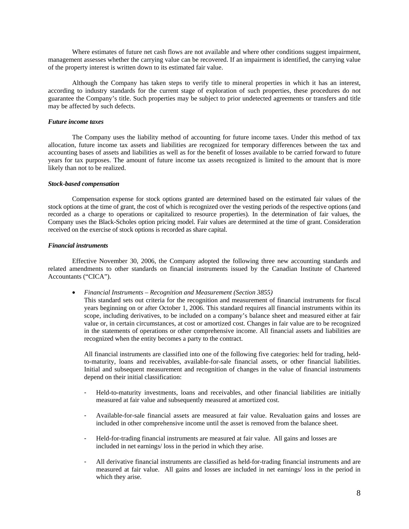Where estimates of future net cash flows are not available and where other conditions suggest impairment, management assesses whether the carrying value can be recovered. If an impairment is identified, the carrying value of the property interest is written down to its estimated fair value.

Although the Company has taken steps to verify title to mineral properties in which it has an interest, according to industry standards for the current stage of exploration of such properties, these procedures do not guarantee the Company's title. Such properties may be subject to prior undetected agreements or transfers and title may be affected by such defects.

# *Future income taxes*

The Company uses the liability method of accounting for future income taxes. Under this method of tax allocation, future income tax assets and liabilities are recognized for temporary differences between the tax and accounting bases of assets and liabilities as well as for the benefit of losses available to be carried forward to future years for tax purposes. The amount of future income tax assets recognized is limited to the amount that is more likely than not to be realized.

## *Stock-based compensation*

Compensation expense for stock options granted are determined based on the estimated fair values of the stock options at the time of grant, the cost of which is recognized over the vesting periods of the respective options (and recorded as a charge to operations or capitalized to resource properties). In the determination of fair values, the Company uses the Black-Scholes option pricing model. Fair values are determined at the time of grant. Consideration received on the exercise of stock options is recorded as share capital.

#### *Financial instruments*

Effective November 30, 2006, the Company adopted the following three new accounting standards and related amendments to other standards on financial instruments issued by the Canadian Institute of Chartered Accountants ("CICA").

• *Financial Instruments – Recognition and Measurement (Section 3855)* 

This standard sets out criteria for the recognition and measurement of financial instruments for fiscal years beginning on or after October 1, 2006. This standard requires all financial instruments within its scope, including derivatives, to be included on a company's balance sheet and measured either at fair value or, in certain circumstances, at cost or amortized cost. Changes in fair value are to be recognized in the statements of operations or other comprehensive income. All financial assets and liabilities are recognized when the entity becomes a party to the contract.

All financial instruments are classified into one of the following five categories: held for trading, heldto-maturity, loans and receivables, available-for-sale financial assets, or other financial liabilities. Initial and subsequent measurement and recognition of changes in the value of financial instruments depend on their initial classification:

- Held-to-maturity investments, loans and receivables, and other financial liabilities are initially measured at fair value and subsequently measured at amortized cost.
- Available-for-sale financial assets are measured at fair value. Revaluation gains and losses are included in other comprehensive income until the asset is removed from the balance sheet.
- Held-for-trading financial instruments are measured at fair value. All gains and losses are included in net earnings/ loss in the period in which they arise.
- All derivative financial instruments are classified as held-for-trading financial instruments and are measured at fair value. All gains and losses are included in net earnings/ loss in the period in which they arise.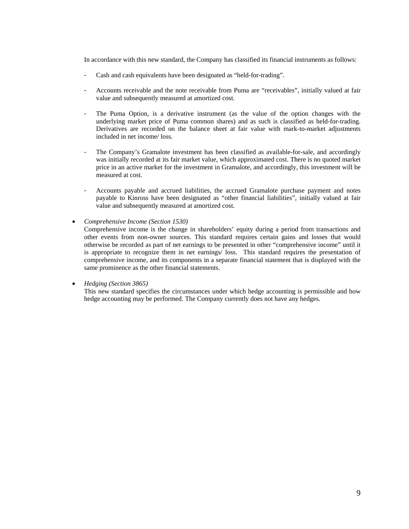In accordance with this new standard, the Company has classified its financial instruments as follows:

- Cash and cash equivalents have been designated as "held-for-trading".
- Accounts receivable and the note receivable from Puma are "receivables", initially valued at fair value and subsequently measured at amortized cost.
- The Puma Option, is a derivative instrument (as the value of the option changes with the underlying market price of Puma common shares) and as such is classified as held-for-trading. Derivatives are recorded on the balance sheet at fair value with mark-to-market adjustments included in net income/ loss.
- The Company's Gramalote investment has been classified as available-for-sale, and accordingly was initially recorded at its fair market value, which approximated cost. There is no quoted market price in an active market for the investment in Gramalote, and accordingly, this investment will be measured at cost.
- Accounts payable and accrued liabilities, the accrued Gramalote purchase payment and notes payable to Kinross have been designated as "other financial liabilities", initially valued at fair value and subsequently measured at amortized cost.
- *Comprehensive Income (Section 1530)*

Comprehensive income is the change in shareholders' equity during a period from transactions and other events from non-owner sources. This standard requires certain gains and losses that would otherwise be recorded as part of net earnings to be presented in other "comprehensive income" until it is appropriate to recognize them in net earnings/ loss. This standard requires the presentation of comprehensive income, and its components in a separate financial statement that is displayed with the same prominence as the other financial statements.

• *Hedging (Section 3865)* 

This new standard specifies the circumstances under which hedge accounting is permissible and how hedge accounting may be performed. The Company currently does not have any hedges.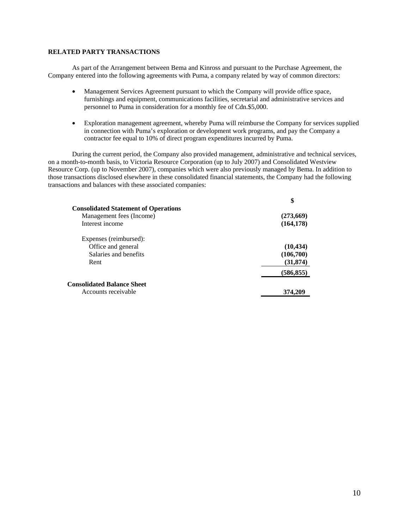# **RELATED PARTY TRANSACTIONS**

As part of the Arrangement between Bema and Kinross and pursuant to the Purchase Agreement, the Company entered into the following agreements with Puma, a company related by way of common directors:

- Management Services Agreement pursuant to which the Company will provide office space, furnishings and equipment, communications facilities, secretarial and administrative services and personnel to Puma in consideration for a monthly fee of Cdn.\$5,000.
- Exploration management agreement, whereby Puma will reimburse the Company for services supplied in connection with Puma's exploration or development work programs, and pay the Company a contractor fee equal to 10% of direct program expenditures incurred by Puma.

During the current period, the Company also provided management, administrative and technical services, on a month-to-month basis, to Victoria Resource Corporation (up to July 2007) and Consolidated Westview Resource Corp. (up to November 2007), companies which were also previously managed by Bema. In addition to those transactions disclosed elsewhere in these consolidated financial statements, the Company had the following transactions and balances with these associated companies:

|                                             | \$         |
|---------------------------------------------|------------|
| <b>Consolidated Statement of Operations</b> |            |
| Management fees (Income)                    | (273,669)  |
| Interest income                             | (164, 178) |
| Expenses (reimbursed):                      |            |
| Office and general                          | (10, 434)  |
| Salaries and benefits                       | (106,700)  |
| Rent                                        | (31, 874)  |
|                                             | (586, 855) |
| <b>Consolidated Balance Sheet</b>           |            |
| Accounts receivable                         | 374.20     |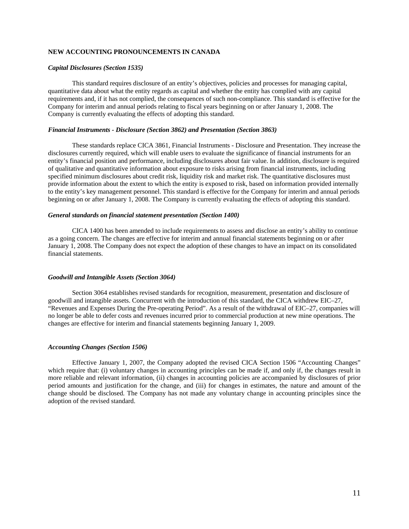# **NEW ACCOUNTING PRONOUNCEMENTS IN CANADA**

#### *Capital Disclosures (Section 1535)*

This standard requires disclosure of an entity's objectives, policies and processes for managing capital, quantitative data about what the entity regards as capital and whether the entity has complied with any capital requirements and, if it has not complied, the consequences of such non-compliance. This standard is effective for the Company for interim and annual periods relating to fiscal years beginning on or after January 1, 2008. The Company is currently evaluating the effects of adopting this standard.

#### *Financial Instruments - Disclosure (Section 3862) and Presentation (Section 3863)*

These standards replace CICA 3861, Financial Instruments - Disclosure and Presentation. They increase the disclosures currently required, which will enable users to evaluate the significance of financial instruments for an entity's financial position and performance, including disclosures about fair value. In addition, disclosure is required of qualitative and quantitative information about exposure to risks arising from financial instruments, including specified minimum disclosures about credit risk, liquidity risk and market risk. The quantitative disclosures must provide information about the extent to which the entity is exposed to risk, based on information provided internally to the entity's key management personnel. This standard is effective for the Company for interim and annual periods beginning on or after January 1, 2008. The Company is currently evaluating the effects of adopting this standard.

#### *General standards on financial statement presentation (Section 1400)*

CICA 1400 has been amended to include requirements to assess and disclose an entity's ability to continue as a going concern. The changes are effective for interim and annual financial statements beginning on or after January 1, 2008. The Company does not expect the adoption of these changes to have an impact on its consolidated financial statements.

#### *Goodwill and Intangible Assets (Section 3064)*

Section 3064 establishes revised standards for recognition, measurement, presentation and disclosure of goodwill and intangible assets. Concurrent with the introduction of this standard, the CICA withdrew EIC–27, "Revenues and Expenses During the Pre-operating Period". As a result of the withdrawal of EIC–27, companies will no longer be able to defer costs and revenues incurred prior to commercial production at new mine operations. The changes are effective for interim and financial statements beginning January 1, 2009.

#### *Accounting Changes (Section 1506)*

Effective January 1, 2007, the Company adopted the revised CICA Section 1506 "Accounting Changes" which require that: (i) voluntary changes in accounting principles can be made if, and only if, the changes result in more reliable and relevant information, (ii) changes in accounting policies are accompanied by disclosures of prior period amounts and justification for the change, and (iii) for changes in estimates, the nature and amount of the change should be disclosed. The Company has not made any voluntary change in accounting principles since the adoption of the revised standard.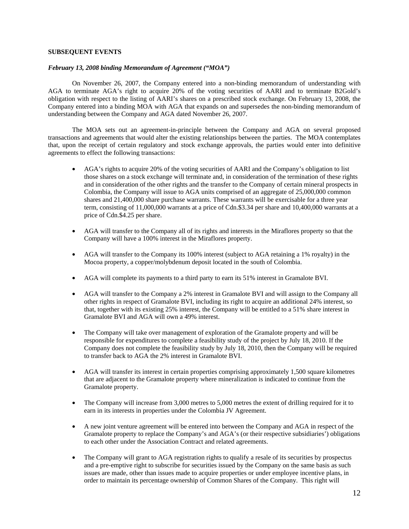# **SUBSEQUENT EVENTS**

# *February 13, 2008 binding Memorandum of Agreement ("MOA")*

On November 26, 2007, the Company entered into a non-binding memorandum of understanding with AGA to terminate AGA's right to acquire 20% of the voting securities of AARI and to terminate B2Gold's obligation with respect to the listing of AARI's shares on a prescribed stock exchange. On February 13, 2008, the Company entered into a binding MOA with AGA that expands on and supersedes the non-binding memorandum of understanding between the Company and AGA dated November 26, 2007.

The MOA sets out an agreement-in-principle between the Company and AGA on several proposed transactions and agreements that would alter the existing relationships between the parties. The MOA contemplates that, upon the receipt of certain regulatory and stock exchange approvals, the parties would enter into definitive agreements to effect the following transactions:

- AGA's rights to acquire 20% of the voting securities of AARI and the Company's obligation to list those shares on a stock exchange will terminate and, in consideration of the termination of these rights and in consideration of the other rights and the transfer to the Company of certain mineral prospects in Colombia, the Company will issue to AGA units comprised of an aggregate of 25,000,000 common shares and 21,400,000 share purchase warrants. These warrants will be exercisable for a three year term, consisting of 11,000,000 warrants at a price of Cdn.\$3.34 per share and 10,400,000 warrants at a price of Cdn.\$4.25 per share.
- AGA will transfer to the Company all of its rights and interests in the Miraflores property so that the Company will have a 100% interest in the Miraflores property.
- AGA will transfer to the Company its 100% interest (subject to AGA retaining a 1% royalty) in the Mocoa property, a copper/molybdenum deposit located in the south of Colombia.
- AGA will complete its payments to a third party to earn its 51% interest in Gramalote BVI.
- AGA will transfer to the Company a 2% interest in Gramalote BVI and will assign to the Company all other rights in respect of Gramalote BVI, including its right to acquire an additional 24% interest, so that, together with its existing 25% interest, the Company will be entitled to a 51% share interest in Gramalote BVI and AGA will own a 49% interest.
- The Company will take over management of exploration of the Gramalote property and will be responsible for expenditures to complete a feasibility study of the project by July 18, 2010. If the Company does not complete the feasibility study by July 18, 2010, then the Company will be required to transfer back to AGA the 2% interest in Gramalote BVI.
- AGA will transfer its interest in certain properties comprising approximately 1,500 square kilometres that are adjacent to the Gramalote property where mineralization is indicated to continue from the Gramalote property.
- The Company will increase from 3,000 metres to 5,000 metres the extent of drilling required for it to earn in its interests in properties under the Colombia JV Agreement.
- A new joint venture agreement will be entered into between the Company and AGA in respect of the Gramalote property to replace the Company's and AGA's (or their respective subsidiaries') obligations to each other under the Association Contract and related agreements.
- The Company will grant to AGA registration rights to qualify a resale of its securities by prospectus and a pre-emptive right to subscribe for securities issued by the Company on the same basis as such issues are made, other than issues made to acquire properties or under employee incentive plans, in order to maintain its percentage ownership of Common Shares of the Company. This right will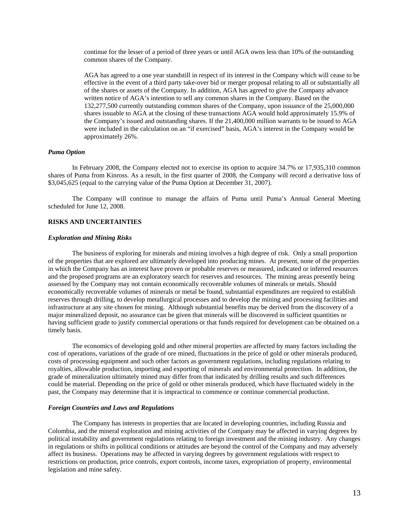continue for the lesser of a period of three years or until AGA owns less than 10% of the outstanding common shares of the Company.

AGA has agreed to a one year standstill in respect of its interest in the Company which will cease to be effective in the event of a third party take-over bid or merger proposal relating to all or substantially all of the shares or assets of the Company. In addition, AGA has agreed to give the Company advance written notice of AGA's intention to sell any common shares in the Company. Based on the 132,277,500 currently outstanding common shares of the Company, upon issuance of the 25,000,000 shares issuable to AGA at the closing of these transactions AGA would hold approximately 15.9% of the Company's issued and outstanding shares. If the 21,400,000 million warrants to be issued to AGA were included in the calculation on an "if exercised" basis, AGA's interest in the Company would be approximately 26%.

#### *Puma Option*

In February 2008, the Company elected not to exercise its option to acquire 34.7% or 17,935,310 common shares of Puma from Kinross. As a result, in the first quarter of 2008, the Company will record a derivative loss of \$3,045,625 (equal to the carrying value of the Puma Option at December 31, 2007).

The Company will continue to manage the affairs of Puma until Puma's Annual General Meeting scheduled for June 12, 2008.

#### **RISKS AND UNCERTAINTIES**

#### *Exploration and Mining Risks*

The business of exploring for minerals and mining involves a high degree of risk. Only a small proportion of the properties that are explored are ultimately developed into producing mines. At present, none of the properties in which the Company has an interest have proven or probable reserves or measured, indicated or inferred resources and the proposed programs are an exploratory search for reserves and resources. The mining areas presently being assessed by the Company may not contain economically recoverable volumes of minerals or metals. Should economically recoverable volumes of minerals or metal be found, substantial expenditures are required to establish reserves through drilling, to develop metallurgical processes and to develop the mining and processing facilities and infrastructure at any site chosen for mining. Although substantial benefits may be derived from the discovery of a major mineralized deposit, no assurance can be given that minerals will be discovered in sufficient quantities or having sufficient grade to justify commercial operations or that funds required for development can be obtained on a timely basis.

The economics of developing gold and other mineral properties are affected by many factors including the cost of operations, variations of the grade of ore mined, fluctuations in the price of gold or other minerals produced, costs of processing equipment and such other factors as government regulations, including regulations relating to royalties, allowable production, importing and exporting of minerals and environmental protection. In addition, the grade of mineralization ultimately mined may differ from that indicated by drilling results and such differences could be material. Depending on the price of gold or other minerals produced, which have fluctuated widely in the past, the Company may determine that it is impractical to commence or continue commercial production.

## *Foreign Countries and Laws and Regulations*

The Company has interests in properties that are located in developing countries, including Russia and Colombia, and the mineral exploration and mining activities of the Company may be affected in varying degrees by political instability and government regulations relating to foreign investment and the mining industry. Any changes in regulations or shifts in political conditions or attitudes are beyond the control of the Company and may adversely affect its business. Operations may be affected in varying degrees by government regulations with respect to restrictions on production, price controls, export controls, income taxes, expropriation of property, environmental legislation and mine safety.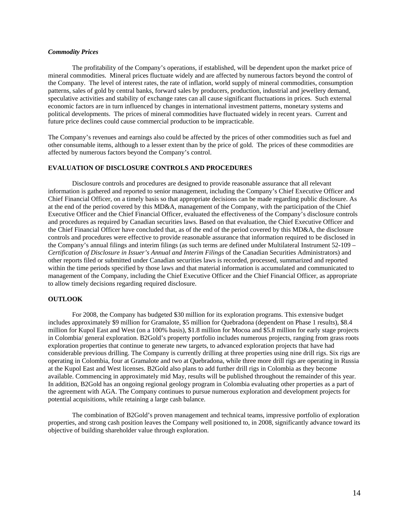## *Commodity Prices*

The profitability of the Company's operations, if established, will be dependent upon the market price of mineral commodities. Mineral prices fluctuate widely and are affected by numerous factors beyond the control of the Company. The level of interest rates, the rate of inflation, world supply of mineral commodities, consumption patterns, sales of gold by central banks, forward sales by producers, production, industrial and jewellery demand, speculative activities and stability of exchange rates can all cause significant fluctuations in prices. Such external economic factors are in turn influenced by changes in international investment patterns, monetary systems and political developments. The prices of mineral commodities have fluctuated widely in recent years. Current and future price declines could cause commercial production to be impracticable.

The Company's revenues and earnings also could be affected by the prices of other commodities such as fuel and other consumable items, although to a lesser extent than by the price of gold. The prices of these commodities are affected by numerous factors beyond the Company's control.

### **EVALUATION OF DISCLOSURE CONTROLS AND PROCEDURES**

Disclosure controls and procedures are designed to provide reasonable assurance that all relevant information is gathered and reported to senior management, including the Company's Chief Executive Officer and Chief Financial Officer, on a timely basis so that appropriate decisions can be made regarding public disclosure. As at the end of the period covered by this MD&A, management of the Company, with the participation of the Chief Executive Officer and the Chief Financial Officer, evaluated the effectiveness of the Company's disclosure controls and procedures as required by Canadian securities laws. Based on that evaluation, the Chief Executive Officer and the Chief Financial Officer have concluded that, as of the end of the period covered by this MD&A, the disclosure controls and procedures were effective to provide reasonable assurance that information required to be disclosed in the Company's annual filings and interim filings (as such terms are defined under Multilateral Instrument 52-109 – *Certification of Disclosure in Issuer's Annual and Interim Filings* of the Canadian Securities Administrators) and other reports filed or submitted under Canadian securities laws is recorded, processed, summarized and reported within the time periods specified by those laws and that material information is accumulated and communicated to management of the Company, including the Chief Executive Officer and the Chief Financial Officer, as appropriate to allow timely decisions regarding required disclosure.

### **OUTLOOK**

For 2008, the Company has budgeted \$30 million for its exploration programs. This extensive budget includes approximately \$9 million for Gramalote, \$5 million for Quebradona (dependent on Phase 1 results), \$8.4 million for Kupol East and West (on a 100% basis), \$1.8 million for Mocoa and \$5.8 million for early stage projects in Colombia/ general exploration. B2Gold's property portfolio includes numerous projects, ranging from grass roots exploration properties that continue to generate new targets, to advanced exploration projects that have had considerable previous drilling. The Company is currently drilling at three properties using nine drill rigs. Six rigs are operating in Colombia, four at Gramalote and two at Quebradona, while three more drill rigs are operating in Russia at the Kupol East and West licenses. B2Gold also plans to add further drill rigs in Colombia as they become available. Commencing in approximately mid May, results will be published throughout the remainder of this year. In addition, B2Gold has an ongoing regional geology program in Colombia evaluating other properties as a part of the agreement with AGA. The Company continues to pursue numerous exploration and development projects for potential acquisitions, while retaining a large cash balance.

The combination of B2Gold's proven management and technical teams, impressive portfolio of exploration properties, and strong cash position leaves the Company well positioned to, in 2008, significantly advance toward its objective of building shareholder value through exploration.